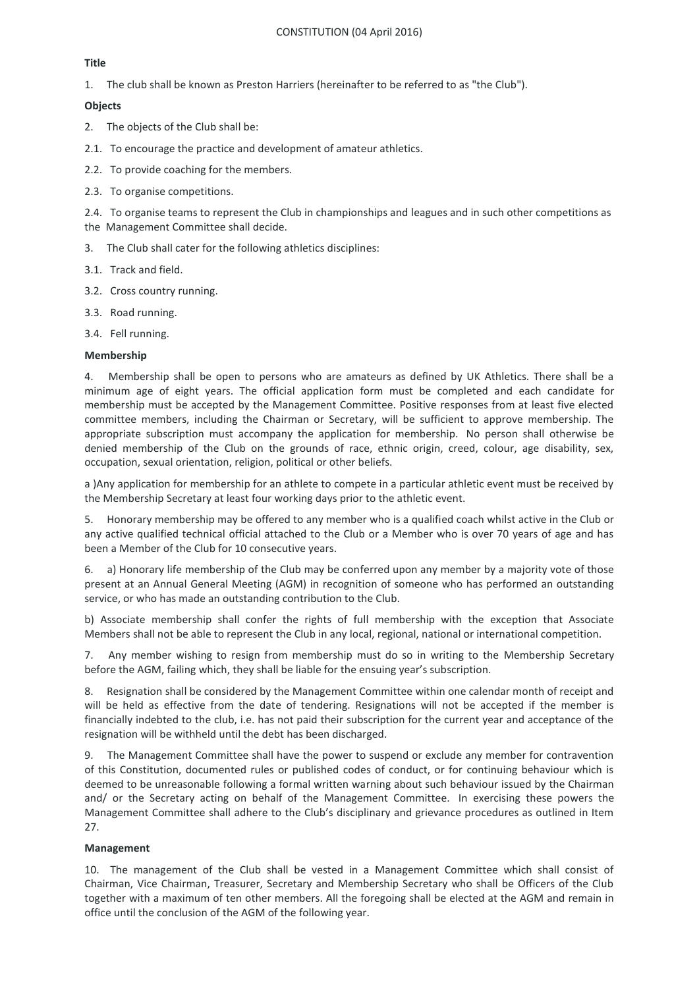## **Title**

1. The club shall be known as Preston Harriers (hereinafter to be referred to as "the Club").

## **Objects**

- 2. The objects of the Club shall be:
- 2.1. To encourage the practice and development of amateur athletics.
- 2.2. To provide coaching for the members.
- 2.3. To organise competitions.

2.4. To organise teams to represent the Club in championships and leagues and in such other competitions as the Management Committee shall decide.

- 3. The Club shall cater for the following athletics disciplines:
- 3.1. Track and field.
- 3.2. Cross country running.
- 3.3. Road running.
- 3.4. Fell running.

## **Membership**

4. Membership shall be open to persons who are amateurs as defined by UK Athletics. There shall be a minimum age of eight years. The official application form must be completed and each candidate for membership must be accepted by the Management Committee. Positive responses from at least five elected committee members, including the Chairman or Secretary, will be sufficient to approve membership. The appropriate subscription must accompany the application for membership. No person shall otherwise be denied membership of the Club on the grounds of race, ethnic origin, creed, colour, age disability, sex, occupation, sexual orientation, religion, political or other beliefs.

a )Any application for membership for an athlete to compete in a particular athletic event must be received by the Membership Secretary at least four working days prior to the athletic event.

5. Honorary membership may be offered to any member who is a qualified coach whilst active in the Club or any active qualified technical official attached to the Club or a Member who is over 70 years of age and has been a Member of the Club for 10 consecutive years.

6. a) Honorary life membership of the Club may be conferred upon any member by a majority vote of those present at an Annual General Meeting (AGM) in recognition of someone who has performed an outstanding service, or who has made an outstanding contribution to the Club.

b) Associate membership shall confer the rights of full membership with the exception that Associate Members shall not be able to represent the Club in any local, regional, national or international competition.

7. Any member wishing to resign from membership must do so in writing to the Membership Secretary before the AGM, failing which, they shall be liable for the ensuing year's subscription.

8. Resignation shall be considered by the Management Committee within one calendar month of receipt and will be held as effective from the date of tendering. Resignations will not be accepted if the member is financially indebted to the club, i.e. has not paid their subscription for the current year and acceptance of the resignation will be withheld until the debt has been discharged.

9. The Management Committee shall have the power to suspend or exclude any member for contravention of this Constitution, documented rules or published codes of conduct, or for continuing behaviour which is deemed to be unreasonable following a formal written warning about such behaviour issued by the Chairman and/ or the Secretary acting on behalf of the Management Committee. In exercising these powers the Management Committee shall adhere to the Club's disciplinary and grievance procedures as outlined in Item 27.

# **Management**

10. The management of the Club shall be vested in a Management Committee which shall consist of Chairman, Vice Chairman, Treasurer, Secretary and Membership Secretary who shall be Officers of the Club together with a maximum of ten other members. All the foregoing shall be elected at the AGM and remain in office until the conclusion of the AGM of the following year.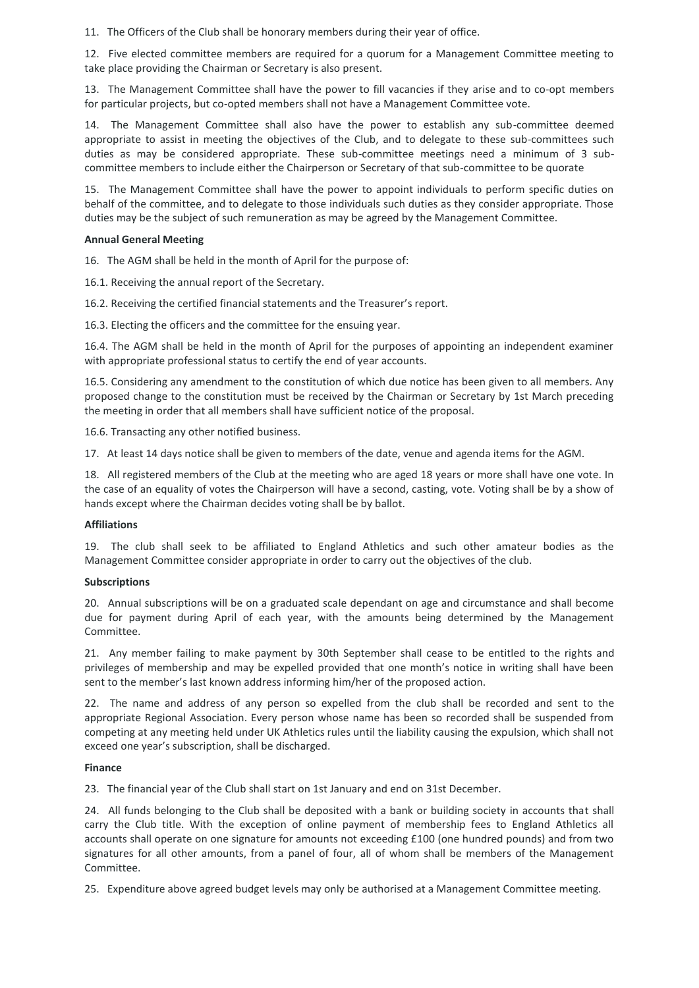11. The Officers of the Club shall be honorary members during their year of office.

12. Five elected committee members are required for a quorum for a Management Committee meeting to take place providing the Chairman or Secretary is also present.

13. The Management Committee shall have the power to fill vacancies if they arise and to co-opt members for particular projects, but co-opted members shall not have a Management Committee vote.

14. The Management Committee shall also have the power to establish any sub-committee deemed appropriate to assist in meeting the objectives of the Club, and to delegate to these sub-committees such duties as may be considered appropriate. These sub-committee meetings need a minimum of 3 subcommittee members to include either the Chairperson or Secretary of that sub-committee to be quorate

15. The Management Committee shall have the power to appoint individuals to perform specific duties on behalf of the committee, and to delegate to those individuals such duties as they consider appropriate. Those duties may be the subject of such remuneration as may be agreed by the Management Committee.

#### **Annual General Meeting**

16. The AGM shall be held in the month of April for the purpose of:

16.1. Receiving the annual report of the Secretary.

16.2. Receiving the certified financial statements and the Treasurer's report.

16.3. Electing the officers and the committee for the ensuing year.

16.4. The AGM shall be held in the month of April for the purposes of appointing an independent examiner with appropriate professional status to certify the end of year accounts.

16.5. Considering any amendment to the constitution of which due notice has been given to all members. Any proposed change to the constitution must be received by the Chairman or Secretary by 1st March preceding the meeting in order that all members shall have sufficient notice of the proposal.

16.6. Transacting any other notified business.

17. At least 14 days notice shall be given to members of the date, venue and agenda items for the AGM.

18. All registered members of the Club at the meeting who are aged 18 years or more shall have one vote. In the case of an equality of votes the Chairperson will have a second, casting, vote. Voting shall be by a show of hands except where the Chairman decides voting shall be by ballot.

## **Affiliations**

19. The club shall seek to be affiliated to England Athletics and such other amateur bodies as the Management Committee consider appropriate in order to carry out the objectives of the club.

## **Subscriptions**

20. Annual subscriptions will be on a graduated scale dependant on age and circumstance and shall become due for payment during April of each year, with the amounts being determined by the Management Committee.

21. Any member failing to make payment by 30th September shall cease to be entitled to the rights and privileges of membership and may be expelled provided that one month's notice in writing shall have been sent to the member's last known address informing him/her of the proposed action.

22. The name and address of any person so expelled from the club shall be recorded and sent to the appropriate Regional Association. Every person whose name has been so recorded shall be suspended from competing at any meeting held under UK Athletics rules until the liability causing the expulsion, which shall not exceed one year's subscription, shall be discharged.

## **Finance**

23. The financial year of the Club shall start on 1st January and end on 31st December.

24. All funds belonging to the Club shall be deposited with a bank or building society in accounts that shall carry the Club title. With the exception of online payment of membership fees to England Athletics all accounts shall operate on one signature for amounts not exceeding £100 (one hundred pounds) and from two signatures for all other amounts, from a panel of four, all of whom shall be members of the Management Committee.

25. Expenditure above agreed budget levels may only be authorised at a Management Committee meeting.